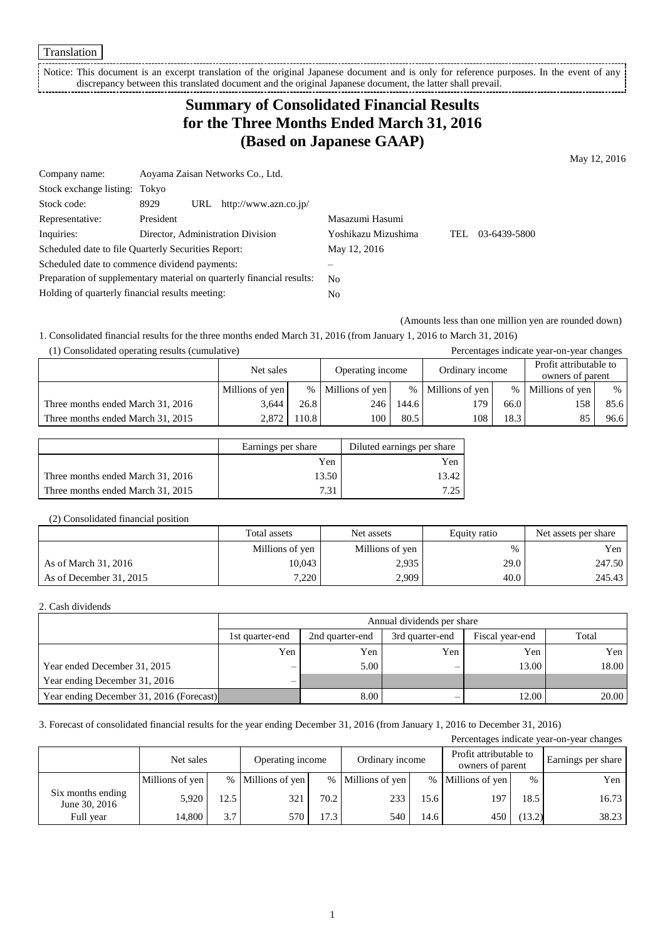Translation

Notice: This document is an excerpt translation of the original Japanese document and is only for reference purposes. In the event of any discrepancy between this translated document and the original Japanese document, the latter shall prevail. 

# **Summary of Consolidated Financial Results for the Three Months Ended March 31, 2016 (Based on Japanese GAAP)**

May 12, 2016

| Company name:                                   | Aoyama Zaisan Networks Co., Ltd.                                      |                     |                     |
|-------------------------------------------------|-----------------------------------------------------------------------|---------------------|---------------------|
| Stock exchange listing: Tokyo                   |                                                                       |                     |                     |
| Stock code:                                     | http://www.azn.co.jp/<br>8929<br>URL                                  |                     |                     |
| Representative:                                 | President                                                             | Masazumi Hasumi     |                     |
| Inquiries:                                      | Director, Administration Division                                     | Yoshikazu Mizushima | 03-6439-5800<br>TEL |
|                                                 | Scheduled date to file Quarterly Securities Report:                   | May 12, 2016        |                     |
|                                                 | Scheduled date to commence dividend payments:                         |                     |                     |
|                                                 | Preparation of supplementary material on quarterly financial results: | No.                 |                     |
| Holding of quarterly financial results meeting: |                                                                       | No                  |                     |

(Amounts less than one million yen are rounded down)

1. Consolidated financial results for the three months ended March 31, 2016 (from January 1, 2016 to March 31, 2016)

| (1) Consolidated operating results (cumulative) |                 |       |                  |       |                   |      | Percentages indicate year-on-year changes  |      |
|-------------------------------------------------|-----------------|-------|------------------|-------|-------------------|------|--------------------------------------------|------|
|                                                 | Net sales       |       | Operating income |       | Ordinary income   |      | Profit attributable to<br>owners of parent |      |
|                                                 | Millions of yen | $\%$  | Millions of yen  |       | % Millions of yen | $\%$ | Millions of yen                            | $\%$ |
| Three months ended March 31, 2016               | 3.644           | 26.8  | 246              | 144.6 | 179               | 66.0 | 158                                        | 85.6 |
| Three months ended March 31, 2015               | 2.872           | 110.8 | 100              | 80.5  | 108               | 18.3 |                                            | 96.6 |

|                                   | Earnings per share | Diluted earnings per share |
|-----------------------------------|--------------------|----------------------------|
|                                   | Yen                | Yen                        |
| Three months ended March 31, 2016 | 13.50              | 13.42                      |
| Three months ended March 31, 2015 | 731                | 7.25                       |

#### (2) Consolidated financial position

|                         | Total assets    | Net assets      | Equity ratio | Net assets per share |
|-------------------------|-----------------|-----------------|--------------|----------------------|
|                         | Millions of yen | Millions of yen | $\%$         | Yen                  |
| As of March 31, 2016    | 10.043          | 2,935           | 29.0         | 247.50               |
| As of December 31, 2015 | 7.220           | 2.909           | 40.0         | 245.43               |

#### 2. Cash dividends

|                                          | Annual dividends per share |                 |                 |                 |       |  |  |
|------------------------------------------|----------------------------|-----------------|-----------------|-----------------|-------|--|--|
|                                          | 1st quarter-end            | 2nd quarter-end | 3rd quarter-end | Fiscal year-end | Total |  |  |
|                                          | Yen                        | Yen             | Yen             | Yen             | Yen   |  |  |
| Year ended December 31, 2015             |                            | 5.00            |                 | 13.00           | 18.00 |  |  |
| Year ending December 31, 2016            |                            |                 |                 |                 |       |  |  |
| Year ending December 31, 2016 (Forecast) |                            | 8.00            |                 | 12.00           | 20.00 |  |  |

### 3. Forecast of consolidated financial results for the year ending December 31, 2016 (from January 1, 2016 to December 31, 2016)

|                                    |                 |                  |                   |      |                   |      |                   |        | Percentages indicate year-on-year changes |                 |  |  |                                            |  |                    |
|------------------------------------|-----------------|------------------|-------------------|------|-------------------|------|-------------------|--------|-------------------------------------------|-----------------|--|--|--------------------------------------------|--|--------------------|
|                                    | Net sales       | Operating income |                   |      |                   |      |                   |        |                                           | Ordinary income |  |  | Profit attributable to<br>owners of parent |  | Earnings per share |
|                                    | Millions of yen |                  | % Millions of yen |      | % Millions of yen |      | % Millions of yen | $\%$   | Yen                                       |                 |  |  |                                            |  |                    |
| Six months ending<br>June 30, 2016 | 5,920           | 12.5             | 321               | 70.2 | 233               | 15.6 | 197               | 18.5   | 16.73                                     |                 |  |  |                                            |  |                    |
| Full year                          | 14.800          | 3.7              | 570               | 17.3 | 540               | 14.6 | 450               | (13.2) | 38.23                                     |                 |  |  |                                            |  |                    |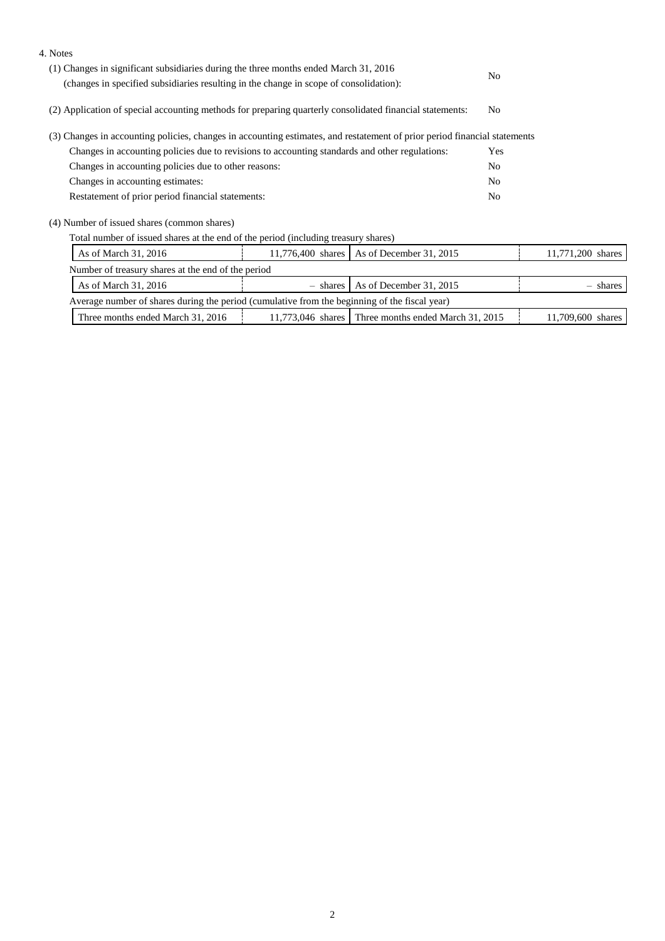| 4. Notes                                                                                                                                                                       |                   |                         |                |                   |
|--------------------------------------------------------------------------------------------------------------------------------------------------------------------------------|-------------------|-------------------------|----------------|-------------------|
| (1) Changes in significant subsidiaries during the three months ended March 31, 2016<br>(changes in specified subsidiaries resulting in the change in scope of consolidation): |                   |                         |                |                   |
| (2) Application of special accounting methods for preparing quarterly consolidated financial statements:                                                                       |                   |                         | N <sub>0</sub> |                   |
| (3) Changes in accounting policies, changes in accounting estimates, and restatement of prior period financial statements                                                      |                   |                         |                |                   |
| Changes in accounting policies due to revisions to accounting standards and other regulations:                                                                                 |                   |                         | Yes            |                   |
| Changes in accounting policies due to other reasons:                                                                                                                           |                   |                         |                |                   |
| Changes in accounting estimates:                                                                                                                                               |                   |                         | N <sub>0</sub> |                   |
| Restatement of prior period financial statements:                                                                                                                              |                   |                         | N <sub>0</sub> |                   |
| (4) Number of issued shares (common shares)                                                                                                                                    |                   |                         |                |                   |
| Total number of issued shares at the end of the period (including treasury shares)                                                                                             |                   |                         |                |                   |
| As of March 31, 2016                                                                                                                                                           | 11,776,400 shares | As of December 31, 2015 |                | 11,771,200 shares |
| Number of treasury shares at the end of the period                                                                                                                             |                   |                         |                |                   |
| As of March 31, 2016                                                                                                                                                           | - shares          | As of December 31, 2015 |                | $-$ shares        |
| Average number of shares during the period (cumulative from the beginning of the fiscal year)                                                                                  |                   |                         |                |                   |

| $\sim$<br>.600<br>201<br>201t<br>700<br>√nar∽<br>. March<br>endeo<br>ende<br>$\sim$<br>. March<br>. hre<br>share<br>moni<br>nontns<br>nı |
|------------------------------------------------------------------------------------------------------------------------------------------|
|------------------------------------------------------------------------------------------------------------------------------------------|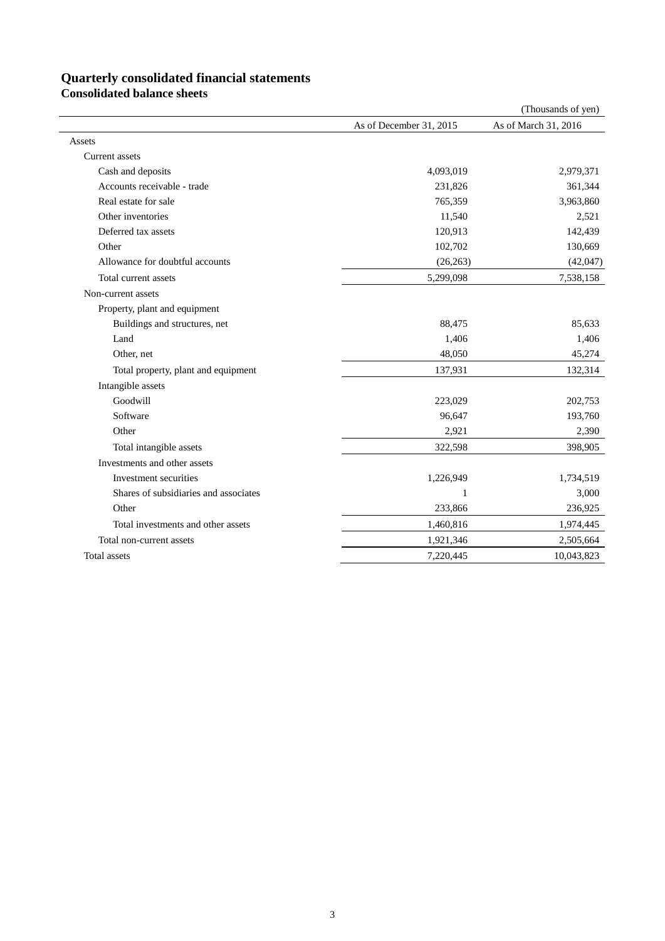# **Quarterly consolidated financial statements**

**Consolidated balance sheets**

|                                       |                         | (Thousands of yen)   |
|---------------------------------------|-------------------------|----------------------|
|                                       | As of December 31, 2015 | As of March 31, 2016 |
| Assets                                |                         |                      |
| Current assets                        |                         |                      |
| Cash and deposits                     | 4,093,019               | 2,979,371            |
| Accounts receivable - trade           | 231,826                 | 361,344              |
| Real estate for sale                  | 765,359                 | 3,963,860            |
| Other inventories                     | 11,540                  | 2,521                |
| Deferred tax assets                   | 120,913                 | 142,439              |
| Other                                 | 102,702                 | 130,669              |
| Allowance for doubtful accounts       | (26, 263)               | (42,047)             |
| Total current assets                  | 5,299,098               | 7,538,158            |
| Non-current assets                    |                         |                      |
| Property, plant and equipment         |                         |                      |
| Buildings and structures, net         | 88,475                  | 85,633               |
| Land                                  | 1,406                   | 1,406                |
| Other, net                            | 48,050                  | 45,274               |
| Total property, plant and equipment   | 137,931                 | 132,314              |
| Intangible assets                     |                         |                      |
| Goodwill                              | 223,029                 | 202,753              |
| Software                              | 96,647                  | 193,760              |
| Other                                 | 2,921                   | 2,390                |
| Total intangible assets               | 322,598                 | 398,905              |
| Investments and other assets          |                         |                      |
| Investment securities                 | 1,226,949               | 1,734,519            |
| Shares of subsidiaries and associates | 1                       | 3,000                |
| Other                                 | 233,866                 | 236,925              |
| Total investments and other assets    | 1,460,816               | 1,974,445            |
| Total non-current assets              | 1,921,346               | 2,505,664            |
| Total assets                          | 7,220,445               | 10,043,823           |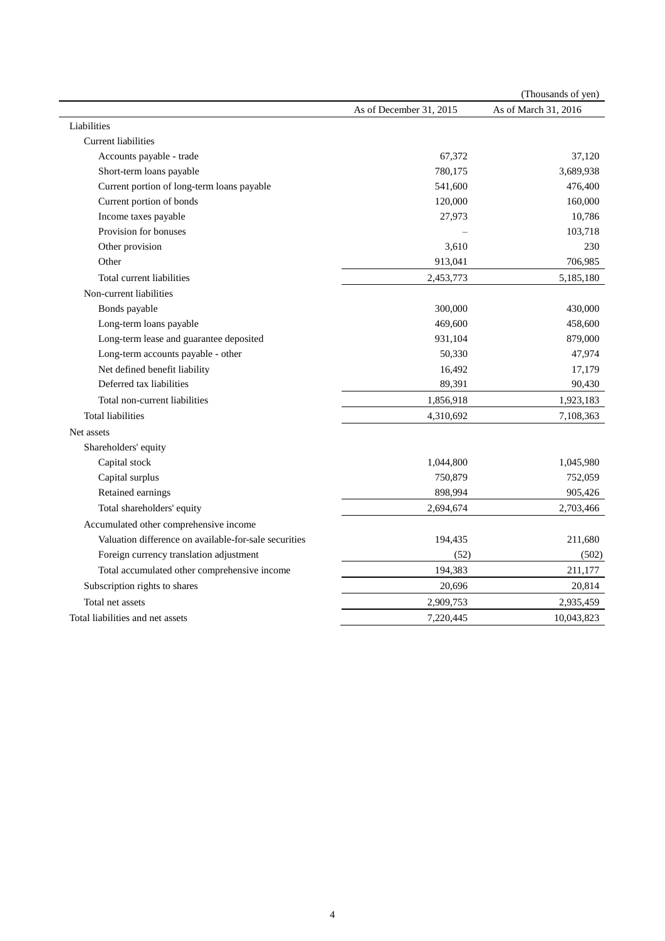|                                                       |                         | (Thousands of yen)   |
|-------------------------------------------------------|-------------------------|----------------------|
|                                                       | As of December 31, 2015 | As of March 31, 2016 |
| Liabilities                                           |                         |                      |
| <b>Current liabilities</b>                            |                         |                      |
| Accounts payable - trade                              | 67,372                  | 37,120               |
| Short-term loans payable                              | 780,175                 | 3,689,938            |
| Current portion of long-term loans payable            | 541,600                 | 476,400              |
| Current portion of bonds                              | 120,000                 | 160,000              |
| Income taxes payable                                  | 27,973                  | 10,786               |
| Provision for bonuses                                 |                         | 103,718              |
| Other provision                                       | 3,610                   | 230                  |
| Other                                                 | 913,041                 | 706,985              |
| Total current liabilities                             | 2,453,773               | 5,185,180            |
| Non-current liabilities                               |                         |                      |
| Bonds payable                                         | 300,000                 | 430,000              |
| Long-term loans payable                               | 469,600                 | 458,600              |
| Long-term lease and guarantee deposited               | 931,104                 | 879,000              |
| Long-term accounts payable - other                    | 50,330                  | 47,974               |
| Net defined benefit liability                         | 16,492                  | 17,179               |
| Deferred tax liabilities                              | 89,391                  | 90,430               |
| Total non-current liabilities                         | 1,856,918               | 1,923,183            |
| <b>Total liabilities</b>                              | 4,310,692               | 7,108,363            |
| Net assets                                            |                         |                      |
| Shareholders' equity                                  |                         |                      |
| Capital stock                                         | 1,044,800               | 1,045,980            |
| Capital surplus                                       | 750,879                 | 752,059              |
| Retained earnings                                     | 898,994                 | 905,426              |
| Total shareholders' equity                            | 2,694,674               | 2,703,466            |
| Accumulated other comprehensive income                |                         |                      |
| Valuation difference on available-for-sale securities | 194,435                 | 211,680              |
| Foreign currency translation adjustment               | (52)                    | (502)                |
| Total accumulated other comprehensive income          | 194,383                 | 211,177              |
| Subscription rights to shares                         | 20,696                  | 20,814               |
| Total net assets                                      | 2,909,753               | 2,935,459            |
| Total liabilities and net assets                      | 7,220,445               | 10,043,823           |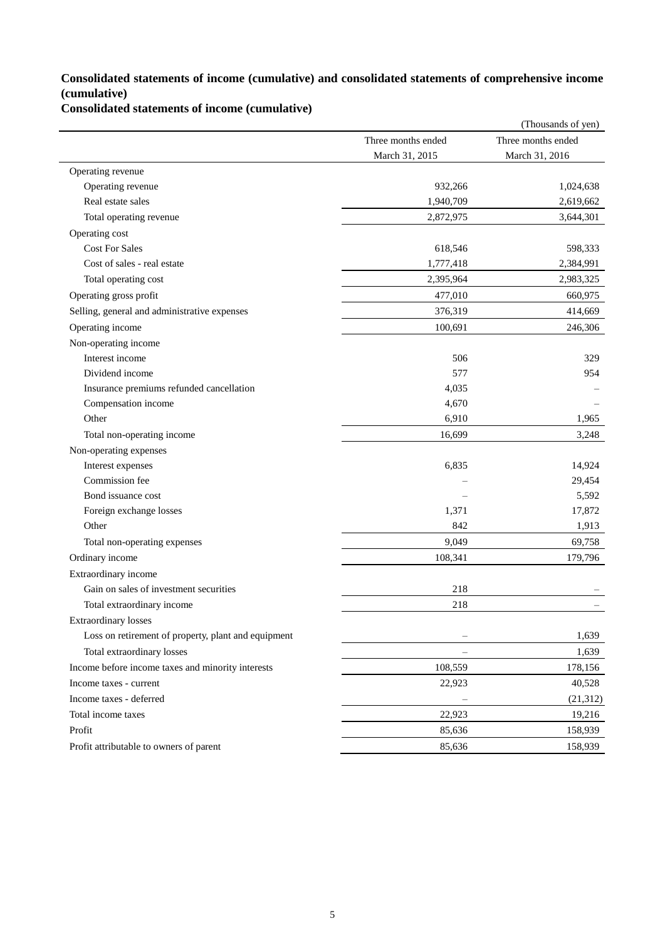## **Consolidated statements of income (cumulative) and consolidated statements of comprehensive income (cumulative)**

**Consolidated statements of income (cumulative)**

|                                                     |                    | (Thousands of yen) |
|-----------------------------------------------------|--------------------|--------------------|
|                                                     | Three months ended | Three months ended |
|                                                     | March 31, 2015     | March 31, 2016     |
| Operating revenue                                   |                    |                    |
| Operating revenue                                   | 932,266            | 1,024,638          |
| Real estate sales                                   | 1,940,709          | 2,619,662          |
| Total operating revenue                             | 2,872,975          | 3,644,301          |
| Operating cost                                      |                    |                    |
| <b>Cost For Sales</b>                               | 618,546            | 598,333            |
| Cost of sales - real estate                         | 1,777,418          | 2,384,991          |
| Total operating cost                                | 2,395,964          | 2,983,325          |
| Operating gross profit                              | 477,010            | 660,975            |
| Selling, general and administrative expenses        | 376,319            | 414,669            |
| Operating income                                    | 100,691            | 246,306            |
| Non-operating income                                |                    |                    |
| Interest income                                     | 506                | 329                |
| Dividend income                                     | 577                | 954                |
| Insurance premiums refunded cancellation            | 4,035              |                    |
| Compensation income                                 | 4,670              |                    |
| Other                                               | 6,910              | 1,965              |
| Total non-operating income                          | 16,699             | 3,248              |
| Non-operating expenses                              |                    |                    |
| Interest expenses                                   | 6,835              | 14,924             |
| Commission fee                                      |                    | 29,454             |
| Bond issuance cost                                  |                    | 5,592              |
| Foreign exchange losses                             | 1,371              | 17,872             |
| Other                                               | 842                | 1,913              |
| Total non-operating expenses                        | 9,049              | 69,758             |
| Ordinary income                                     | 108,341            | 179,796            |
| Extraordinary income                                |                    |                    |
| Gain on sales of investment securities              | 218                |                    |
| Total extraordinary income                          | 218                |                    |
| <b>Extraordinary losses</b>                         |                    |                    |
| Loss on retirement of property, plant and equipment |                    | 1,639              |
| Total extraordinary losses                          | $\qquad \qquad -$  | 1,639              |
| Income before income taxes and minority interests   | 108,559            | 178,156            |
| Income taxes - current                              | 22,923             | 40,528             |
| Income taxes - deferred                             |                    | (21,312)           |
| Total income taxes                                  | 22,923             | 19,216             |
| Profit                                              | 85,636             | 158,939            |
| Profit attributable to owners of parent             | 85,636             | 158,939            |